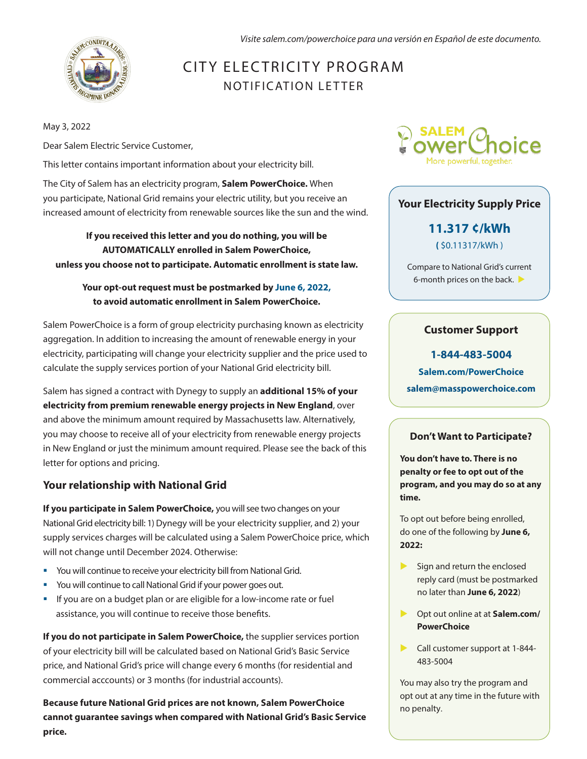*Visite salem.com/powerchoice para una versión en Español de este documento.*



# CITY ELECTRICITY PROGRAM NOTIFICATION LETTER

May 3, 2022

Dear Salem Electric Service Customer,

This letter contains important information about your electricity bill.

The City of Salem has an electricity program, **Salem PowerChoice.** When you participate, National Grid remains your electric utility, but you receive an increased amount of electricity from renewable sources like the sun and the wind.

**If you received this letter and you do nothing, you will be AUTOMATICALLY enrolled in Salem PowerChoice, unless you choose not to participate. Automatic enrollment is state law.**

### **Your opt-out request must be postmarked by June 6, 2022, to avoid automatic enrollment in Salem PowerChoice.**

Salem PowerChoice is a form of group electricity purchasing known as electricity aggregation. In addition to increasing the amount of renewable energy in your electricity, participating will change your electricity supplier and the price used to calculate the supply services portion of your National Grid electricity bill.

Salem has signed a contract with Dynegy to supply an **additional 15% of your electricity from premium renewable energy projects in New England**, over and above the minimum amount required by Massachusetts law. Alternatively, you may choose to receive all of your electricity from renewable energy projects in New England or just the minimum amount required. Please see the back of this letter for options and pricing.

# **Your relationship with National Grid**

**If you participate in Salem PowerChoice,** you will see two changes on your National Grid electricity bill: 1) Dynegy will be your electricity supplier, and 2) your supply services charges will be calculated using a Salem PowerChoice price, which will not change until December 2024. Otherwise:

- You will continue to receive your electricity bill from National Grid.
- You will continue to call National Grid if your power goes out.
- **•** If you are on a budget plan or are eligible for a low-income rate or fuel assistance, you will continue to receive those benefits.

**If you do not participate in Salem PowerChoice,** the supplier services portion of your electricity bill will be calculated based on National Grid's Basic Service price, and National Grid's price will change every 6 months (for residential and commercial acccounts) or 3 months (for industrial accounts).

**Because future National Grid prices are not known, Salem PowerChoice cannot guarantee savings when compared with National Grid's Basic Service price.**



### **Your Electricity Supply Price**

**11.317 ¢/kWh (** \$0.11317/kWh )

Compare to National Grid's current 6-month prices on the back.

## **Customer Support**

**1-844-483-5004 Salem.com/PowerChoice salem@masspowerchoice.com** 

#### **Don't Want to Participate?**

**You don't have to. There is no penalty or fee to opt out of the program, and you may do so at any time.** 

To opt out before being enrolled, do one of the following by **June 6, 2022:** 

- $\blacktriangleright$  Sign and return the enclosed reply card (must be postmarked no later than **June 6, 2022**)
- Opt out online at at **Salem.com/ PowerChoice**
- Call customer support at 1-844-483-5004

You may also try the program and opt out at any time in the future with no penalty.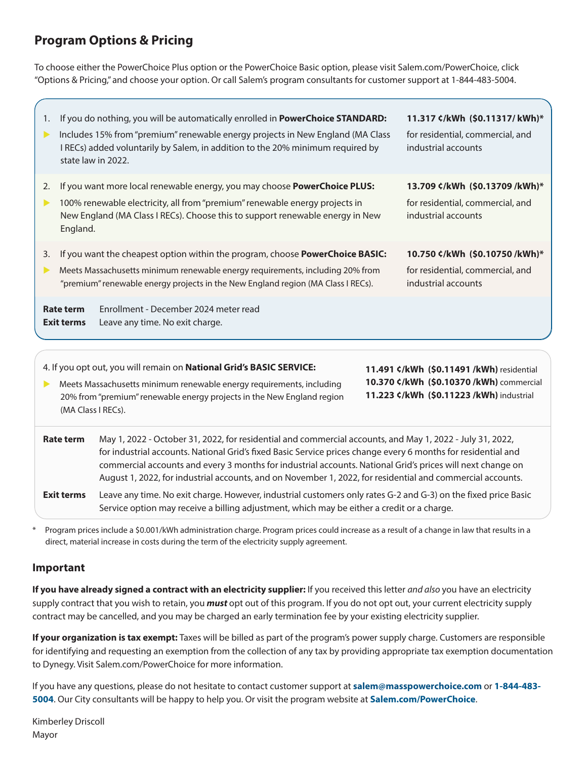# **Program Options & Pricing**

To choose either the PowerChoice Plus option or the PowerChoice Basic option, please visit Salem.com/PowerChoice, click "Options & Pricing," and choose your option. Or call Salem's program consultants for customer support at 1-844-483-5004.

- 1. If you do nothing, you will be automatically enrolled in **PowerChoice STANDARD:**
- Includes 15% from "premium" renewable energy projects in New England (MA Class I RECs) added voluntarily by Salem, in addition to the 20% minimum required by state law in 2022.
- 2. If you want more local renewable energy, you may choose **PowerChoice PLUS:**
- 100% renewable electricity, all from "premium" renewable energy projects in New England (MA Class I RECs). Choose this to support renewable energy in New England.
- 3. If you want the cheapest option within the program, choose **PowerChoice BASIC:**
- Meets Massachusetts minimum renewable energy requirements, including 20% from "premium" renewable energy projects in the New England region (MA Class I RECs).

**Rate term Exit terms** \Enrollment - December 2024 meter read Leave any time. No exit charge.

4. If you opt out, you will remain on **National Grid's BASIC SERVICE:**

**Meets Massachusetts minimum renewable energy requirements, including** 20% from "premium" renewable energy projects in the New England region (MA Class I RECs).

**11.491 ¢/kWh (\$0.11491 /kWh)** residential **10.370 ¢/kWh (\$0.10370 /kWh)** commercial **11.223 ¢/kWh (\$0.11223 /kWh)** industrial

| Rate term         | May 1, 2022 - October 31, 2022, for residential and commercial accounts, and May 1, 2022 - July 31, 2022,      |
|-------------------|----------------------------------------------------------------------------------------------------------------|
|                   | for industrial accounts. National Grid's fixed Basic Service prices change every 6 months for residential and  |
|                   | commercial accounts and every 3 months for industrial accounts. National Grid's prices will next change on     |
|                   | August 1, 2022, for industrial accounts, and on November 1, 2022, for residential and commercial accounts.     |
| <b>Exit terms</b> | Leave any time. No exit charge. However, industrial customers only rates G-2 and G-3) on the fixed price Basic |

\* Program prices include a \$0.001/kWh administration charge. Program prices could increase as a result of a change in law that results in a direct, material increase in costs during the term of the electricity supply agreement.

Service option may receive a billing adjustment, which may be either a credit or a charge.

#### **Important**

**If you have already signed a contract with an electricity supplier:** If you received this letter *and also* you have an electricity supply contract that you wish to retain, you *must* opt out of this program. If you do not opt out, your current electricity supply contract may be cancelled, and you may be charged an early termination fee by your existing electricity supplier.

**If your organization is tax exempt:** Taxes will be billed as part of the program's power supply charge. Customers are responsible for identifying and requesting an exemption from the collection of any tax by providing appropriate tax exemption documentation to Dynegy. Visit Salem.com/PowerChoice for more information.

If you have any questions, please do not hesitate to contact customer support at **salem@masspowerchoice.com** or **1-844-483- 5004**. Our City consultants will be happy to help you. Or visit the program website at **Salem.com/PowerChoice**.

Kimberley Driscoll Mayor

**11.317 ¢/kWh (\$0.11317/ kWh)\*** for residential, commercial, and industrial accounts

#### **13.709 ¢/kWh (\$0.13709 /kWh)\***

for residential, commercial, and industrial accounts

#### **10.750 ¢/kWh (\$0.10750 /kWh)\***

for residential, commercial, and industrial accounts